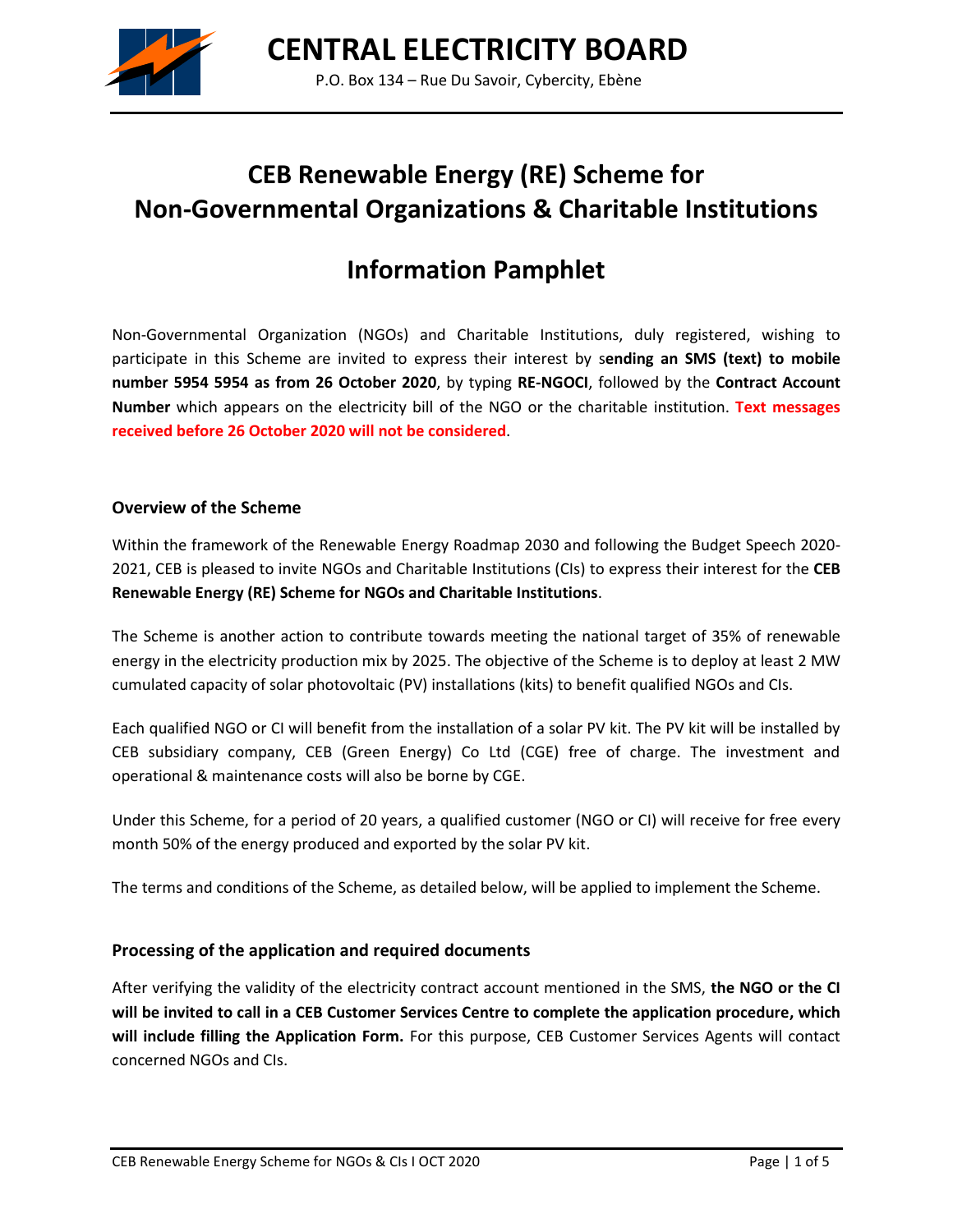

# **CEB Renewable Energy (RE) Scheme for Non-Governmental Organizations & Charitable Institutions**

# **Information Pamphlet**

Non-Governmental Organization (NGOs) and Charitable Institutions, duly registered, wishing to participate in this Scheme are invited to express their interest by s**ending an SMS (text) to mobile number 5954 5954 as from 26 October 2020**, by typing **RE-NGOCI**, followed by the **Contract Account Number** which appears on the electricity bill of the NGO or the charitable institution. **Text messages received before 26 October 2020 will not be considered**.

### **Overview of the Scheme**

Within the framework of the Renewable Energy Roadmap 2030 and following the Budget Speech 2020- 2021, CEB is pleased to invite NGOs and Charitable Institutions (CIs) to express their interest for the **CEB Renewable Energy (RE) Scheme for NGOs and Charitable Institutions**.

The Scheme is another action to contribute towards meeting the national target of 35% of renewable energy in the electricity production mix by 2025. The objective of the Scheme is to deploy at least 2 MW cumulated capacity of solar photovoltaic (PV) installations (kits) to benefit qualified NGOs and CIs.

Each qualified NGO or CI will benefit from the installation of a solar PV kit. The PV kit will be installed by CEB subsidiary company, CEB (Green Energy) Co Ltd (CGE) free of charge. The investment and operational & maintenance costs will also be borne by CGE.

Under this Scheme, for a period of 20 years, a qualified customer (NGO or CI) will receive for free every month 50% of the energy produced and exported by the solar PV kit.

The terms and conditions of the Scheme, as detailed below, will be applied to implement the Scheme.

### **Processing of the application and required documents**

After verifying the validity of the electricity contract account mentioned in the SMS, **the NGO or the CI will be invited to call in a CEB Customer Services Centre to complete the application procedure, which will include filling the Application Form.** For this purpose, CEB Customer Services Agents will contact concerned NGOs and CIs.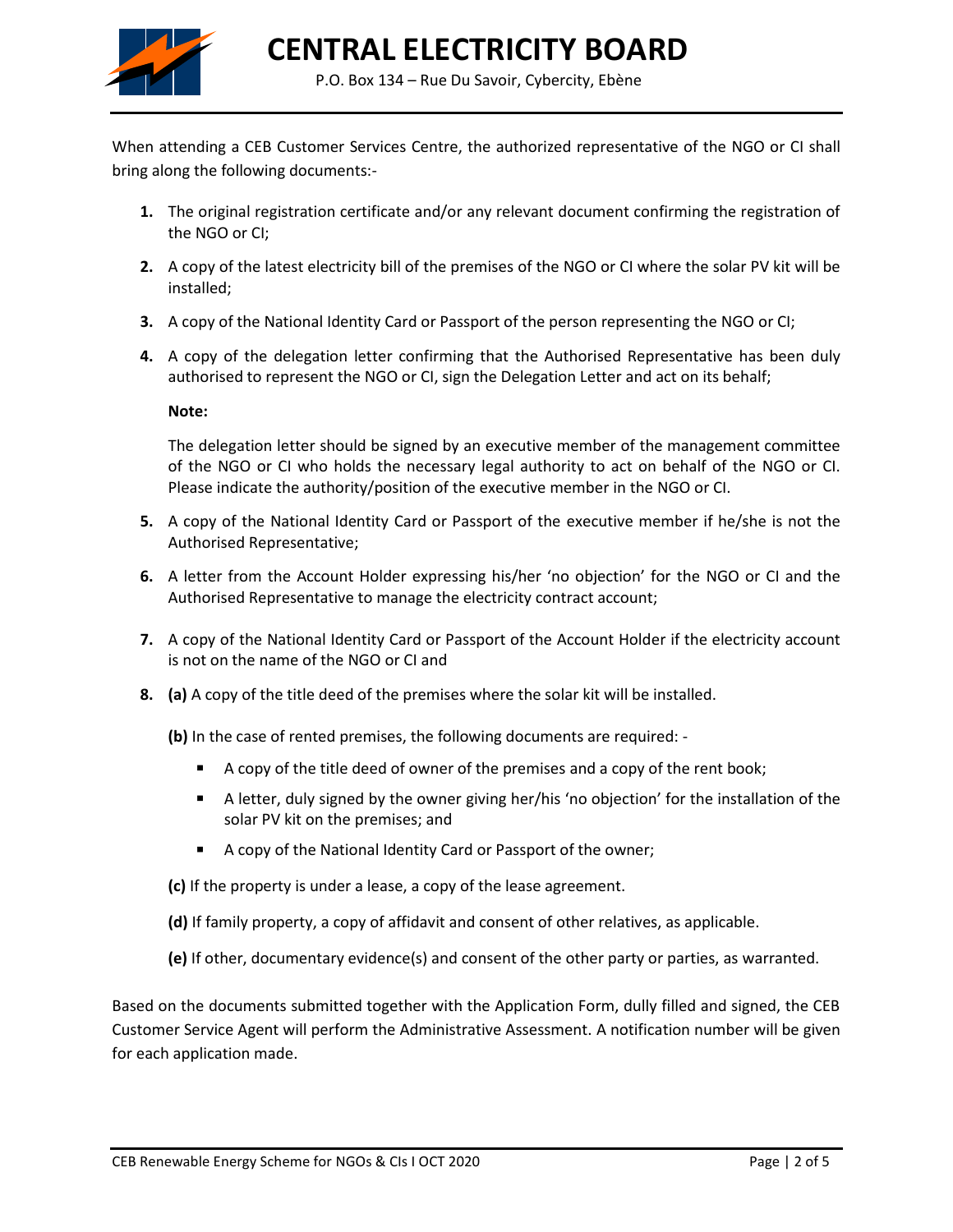

**CENTRAL ELECTRICITY BOARD**

P.O. Box 134 – Rue Du Savoir, Cybercity, Ebène

When attending a CEB Customer Services Centre, the authorized representative of the NGO or CI shall bring along the following documents:-

- **1.** The original registration certificate and/or any relevant document confirming the registration of the NGO or CI;
- **2.** A copy of the latest electricity bill of the premises of the NGO or CI where the solar PV kit will be installed;
- **3.** A copy of the National Identity Card or Passport of the person representing the NGO or CI;
- **4.** A copy of the delegation letter confirming that the Authorised Representative has been duly authorised to represent the NGO or CI, sign the Delegation Letter and act on its behalf;

#### **Note:**

The delegation letter should be signed by an executive member of the management committee of the NGO or CI who holds the necessary legal authority to act on behalf of the NGO or CI. Please indicate the authority/position of the executive member in the NGO or CI.

- **5.** A copy of the National Identity Card or Passport of the executive member if he/she is not the Authorised Representative;
- **6.** A letter from the Account Holder expressing his/her 'no objection' for the NGO or CI and the Authorised Representative to manage the electricity contract account;
- **7.** A copy of the National Identity Card or Passport of the Account Holder if the electricity account is not on the name of the NGO or CI and
- **8. (a)** A copy of the title deed of the premises where the solar kit will be installed.
	- **(b)** In the case of rented premises, the following documents are required:
		- A copy of the title deed of owner of the premises and a copy of the rent book;
		- A letter, duly signed by the owner giving her/his 'no objection' for the installation of the solar PV kit on the premises; and
		- A copy of the National Identity Card or Passport of the owner;
	- **(c)** If the property is under a lease, a copy of the lease agreement.
	- **(d)** If family property, a copy of affidavit and consent of other relatives, as applicable.
	- **(e)** If other, documentary evidence(s) and consent of the other party or parties, as warranted.

Based on the documents submitted together with the Application Form, dully filled and signed, the CEB Customer Service Agent will perform the Administrative Assessment. A notification number will be given for each application made.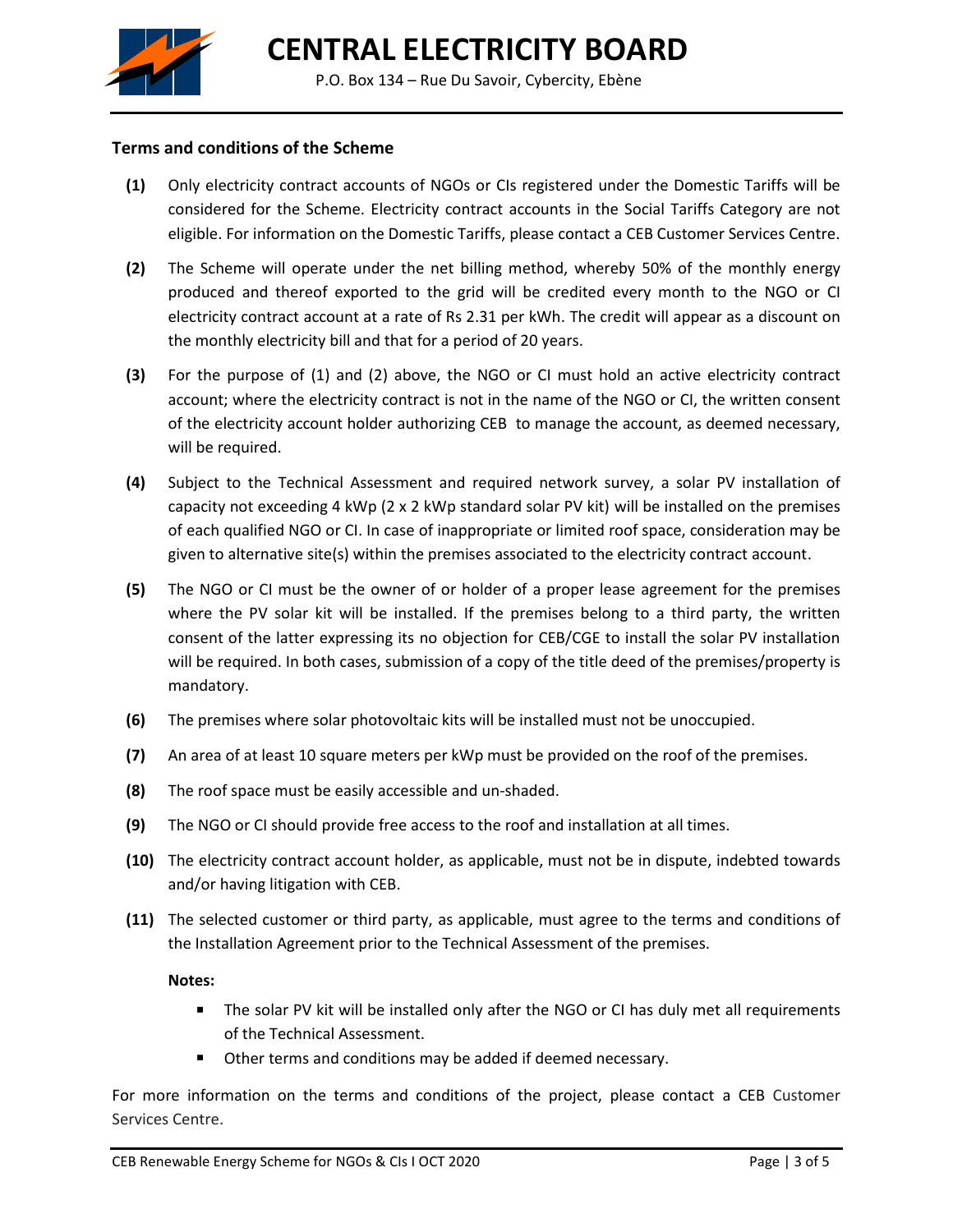

#### **Terms and conditions of the Scheme**

- **(1)** Only electricity contract accounts of NGOs or CIs registered under the Domestic Tariffs will be considered for the Scheme. Electricity contract accounts in the Social Tariffs Category are not eligible. For information on the Domestic Tariffs, please contact a CEB Customer Services Centre.
- **(2)** The Scheme will operate under the net billing method, whereby 50% of the monthly energy produced and thereof exported to the grid will be credited every month to the NGO or CI electricity contract account at a rate of Rs 2.31 per kWh. The credit will appear as a discount on the monthly electricity bill and that for a period of 20 years.
- **(3)** For the purpose of (1) and (2) above, the NGO or CI must hold an active electricity contract account; where the electricity contract is not in the name of the NGO or CI, the written consent of the electricity account holder authorizing CEB to manage the account, as deemed necessary, will be required.
- **(4)** Subject to the Technical Assessment and required network survey, a solar PV installation of capacity not exceeding 4 kWp (2 x 2 kWp standard solar PV kit) will be installed on the premises of each qualified NGO or CI. In case of inappropriate or limited roof space, consideration may be given to alternative site(s) within the premises associated to the electricity contract account.
- **(5)** The NGO or CI must be the owner of or holder of a proper lease agreement for the premises where the PV solar kit will be installed. If the premises belong to a third party, the written consent of the latter expressing its no objection for CEB/CGE to install the solar PV installation will be required. In both cases, submission of a copy of the title deed of the premises/property is mandatory.
- **(6)** The premises where solar photovoltaic kits will be installed must not be unoccupied.
- **(7)** An area of at least 10 square meters per kWp must be provided on the roof of the premises.
- **(8)** The roof space must be easily accessible and un-shaded.
- **(9)** The NGO or CI should provide free access to the roof and installation at all times.
- **(10)** The electricity contract account holder, as applicable, must not be in dispute, indebted towards and/or having litigation with CEB.
- **(11)** The selected customer or third party, as applicable, must agree to the terms and conditions of the Installation Agreement prior to the Technical Assessment of the premises.

**Notes:**

- The solar PV kit will be installed only after the NGO or CI has duly met all requirements of the Technical Assessment.
- Other terms and conditions may be added if deemed necessary.

For more information on the terms and conditions of the project, please contact a CEB Customer Services Centre.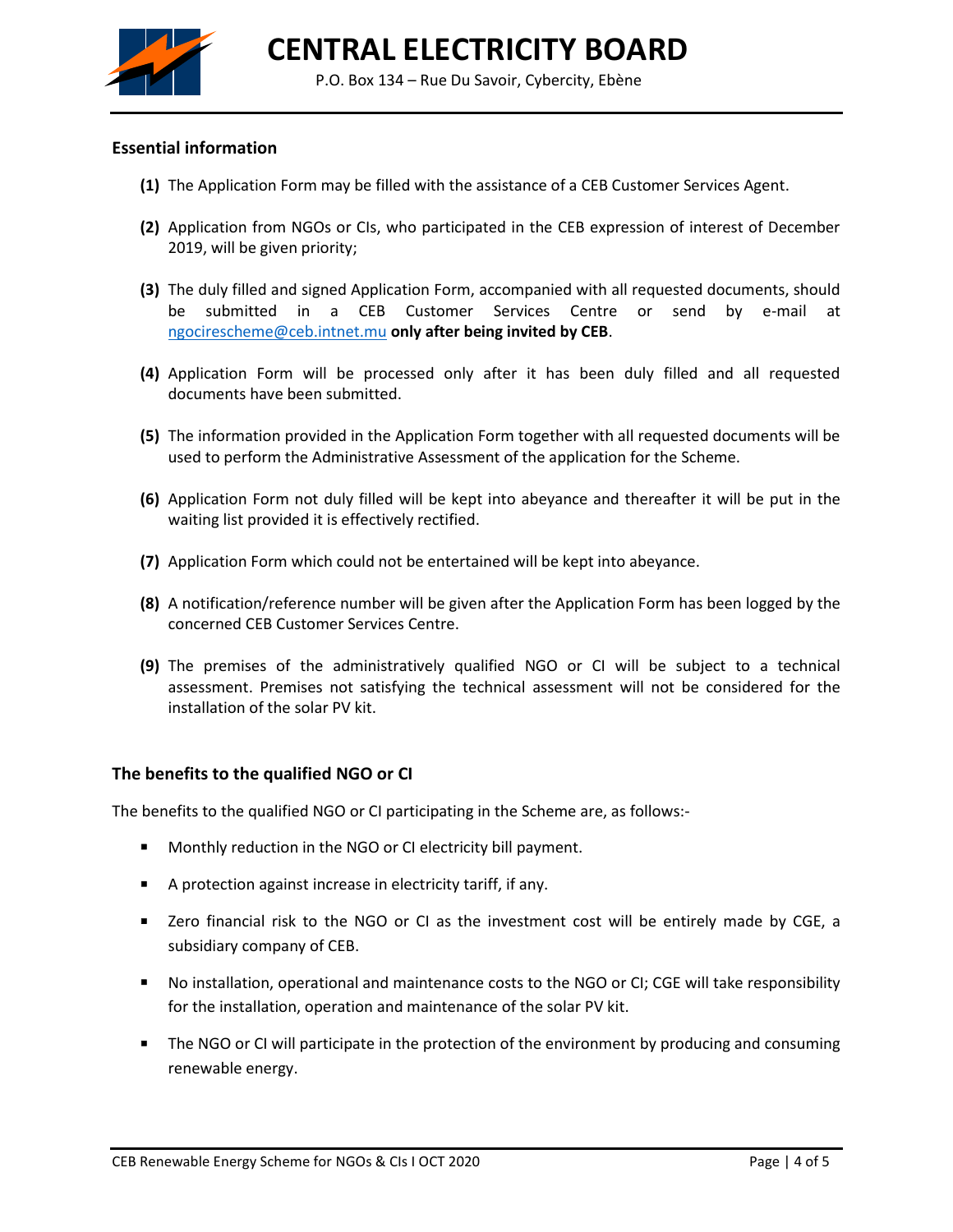

**CENTRAL ELECTRICITY BOARD**

P.O. Box 134 – Rue Du Savoir, Cybercity, Ebène

#### **Essential information**

- **(1)** The Application Form may be filled with the assistance of a CEB Customer Services Agent.
- **(2)** Application from NGOs or CIs, who participated in the CEB expression of interest of December 2019, will be given priority;
- **(3)** The duly filled and signed Application Form, accompanied with all requested documents, should be submitted in a CEB Customer Services Centre or send by e-mail at [ngocirescheme@ceb.intnet.mu](mailto:ngocirescheme@ceb.intnet.mu) **only after being invited by CEB**.
- **(4)** Application Form will be processed only after it has been duly filled and all requested documents have been submitted.
- **(5)** The information provided in the Application Form together with all requested documents will be used to perform the Administrative Assessment of the application for the Scheme.
- **(6)** Application Form not duly filled will be kept into abeyance and thereafter it will be put in the waiting list provided it is effectively rectified.
- **(7)** Application Form which could not be entertained will be kept into abeyance.
- **(8)** A notification/reference number will be given after the Application Form has been logged by the concerned CEB Customer Services Centre.
- **(9)** The premises of the administratively qualified NGO or CI will be subject to a technical assessment. Premises not satisfying the technical assessment will not be considered for the installation of the solar PV kit.

#### **The benefits to the qualified NGO or CI**

The benefits to the qualified NGO or CI participating in the Scheme are, as follows:-

- **Monthly reduction in the NGO or CI electricity bill payment.**
- A protection against increase in electricity tariff, if any.
- Zero financial risk to the NGO or CI as the investment cost will be entirely made by CGE, a subsidiary company of CEB.
- No installation, operational and maintenance costs to the NGO or CI; CGE will take responsibility for the installation, operation and maintenance of the solar PV kit.
- **The NGO or CI will participate in the protection of the environment by producing and consuming** renewable energy.